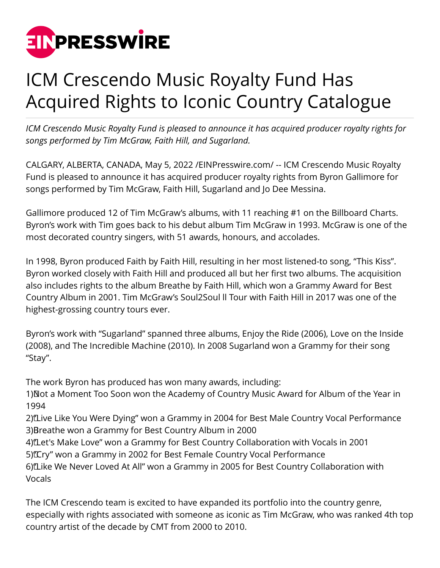

## ICM Crescendo Music Royalty Fund Has Acquired Rights to Iconic Country Catalogue

*ICM Crescendo Music Royalty Fund is pleased to announce it has acquired producer royalty rights for songs performed by Tim McGraw, Faith Hill, and Sugarland.*

CALGARY, ALBERTA, CANADA, May 5, 2022 [/EINPresswire.com/](http://www.einpresswire.com) -- ICM Crescendo Music Royalty Fund is pleased to announce it has acquired producer royalty rights from Byron Gallimore for songs performed by Tim McGraw, Faith Hill, Sugarland and Jo Dee Messina.

Gallimore produced 12 of Tim McGraw's albums, with 11 reaching #1 on the Billboard Charts. Byron's work with Tim goes back to his debut album Tim McGraw in 1993. McGraw is one of the most decorated country singers, with 51 awards, honours, and accolades.

In 1998, Byron produced Faith by Faith Hill, resulting in her most listened-to song, "This Kiss". Byron worked closely with Faith Hill and produced all but her first two albums. The acquisition also includes rights to the album Breathe by Faith Hill, which won a Grammy Award for Best Country Album in 2001. Tim McGraw's Soul2Soul ll Tour with Faith Hill in 2017 was one of the highest-grossing country tours ever.

Byron's work with "Sugarland" spanned three albums, Enjoy the Ride (2006), Love on the Inside (2008), and The Incredible Machine (2010). In 2008 Sugarland won a Grammy for their song "Stay".

The work Byron has produced has won many awards, including:

1) Not a Moment Too Soon won the Academy of Country Music Award for Album of the Year in 1994

2) Live Like You Were Dying" won a Grammy in 2004 for Best Male Country Vocal Performance 3) Breathe won a Grammy for Best Country Album in 2000

4) Let's Make Love" won a Grammy for Best Country Collaboration with Vocals in 2001 5) [Cry" won a Grammy in 2002 for Best Female Country Vocal Performance

6) Like We Never Loved At All" won a Grammy in 2005 for Best Country Collaboration with Vocals

The ICM Crescendo team is excited to have expanded its portfolio into the country genre, especially with rights associated with someone as iconic as Tim McGraw, who was ranked 4th top country artist of the decade by CMT from 2000 to 2010.